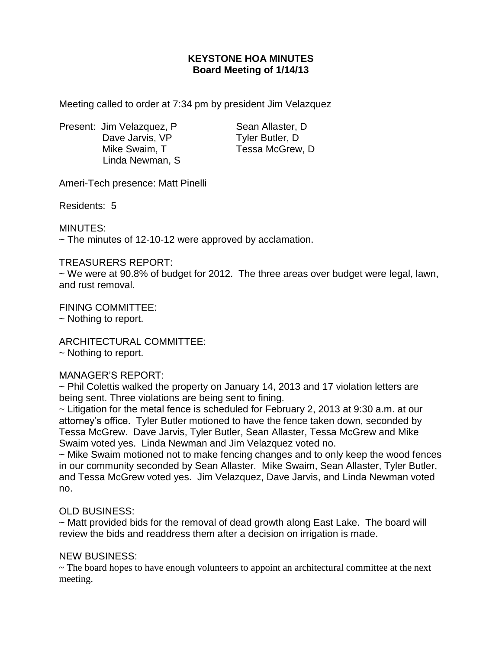# **KEYSTONE HOA MINUTES Board Meeting of 1/14/13**

Meeting called to order at 7:34 pm by president Jim Velazquez

Present: Jim Velazquez, P Sean Allaster, D Dave Jarvis, VP Tyler Butler, D Mike Swaim, T Tessa McGrew, D Linda Newman, S

Ameri-Tech presence: Matt Pinelli

Residents: 5

MINUTES:

 $\sim$  The minutes of 12-10-12 were approved by acclamation.

### TREASURERS REPORT:

~ We were at 90.8% of budget for 2012. The three areas over budget were legal, lawn, and rust removal.

FINING COMMITTEE: ~ Nothing to report.

ARCHITECTURAL COMMITTEE:

~ Nothing to report.

## MANAGER'S REPORT:

~ Phil Colettis walked the property on January 14, 2013 and 17 violation letters are being sent. Three violations are being sent to fining.

~ Litigation for the metal fence is scheduled for February 2, 2013 at 9:30 a.m. at our attorney's office. Tyler Butler motioned to have the fence taken down, seconded by Tessa McGrew. Dave Jarvis, Tyler Butler, Sean Allaster, Tessa McGrew and Mike Swaim voted yes. Linda Newman and Jim Velazquez voted no.

~ Mike Swaim motioned not to make fencing changes and to only keep the wood fences in our community seconded by Sean Allaster. Mike Swaim, Sean Allaster, Tyler Butler, and Tessa McGrew voted yes. Jim Velazquez, Dave Jarvis, and Linda Newman voted no.

## OLD BUSINESS:

~ Matt provided bids for the removal of dead growth along East Lake. The board will review the bids and readdress them after a decision on irrigation is made.

## NEW BUSINESS:

~ The board hopes to have enough volunteers to appoint an architectural committee at the next meeting.